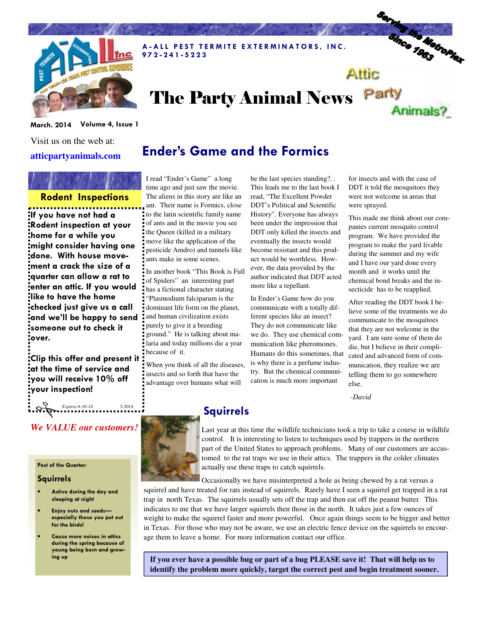

A-ALL PEST TERMITE EXTERMINATORS, INC. 9 7 2 - 2 4 1 - 5 2 2 3

# The Party Animal News Party

March. 2014 Volume 4, Issue 1

Visit us on the web at: **atticpartyanimals.com** 

## Rodent Inspections

If you have not had a Rodent inspection at your home for a while you might consider having one done. With house movement a crack the size of a quarter can allow a rat to enter an attic. If you would like to have the home checked just give us a call and we'll be happy to send someone out to check it over.

Clip this offer and present it at the time of service and you will receive 10% off your inspection!

*We VALUE our customers!* 

*Expires 6-30-14* 3-2014

#### Pest of the Quarter:

#### Squirrels

- Active during the day and sleeping at night
- Enjoy nuts and seeds especially those you put out for the birds!
- Cause more noises in attics during the spring because of young being born and grow-

### Ender's Game and the Formics

I read "Ender's Game" a long time ago and just saw the movie. The aliens in this story are like an ant. Their name is Formics, close to the latin scientific family name of ants and in the movie you see the Queen (killed in a military move like the application of the pesticide Amdro) and tunnels like ants make in some scenes.

In another book "This Book is Full of Spiders" an interesting part has a fictional character stating "Plasmodium falciparum is the dominant life form on the planet, and human civilization exists purely to give it a breeding ground." He is talking about malaria and today millions die a year because of it.

When you think of all the diseases, insects and so forth that have the advantage over humans what will

Squirrels

be the last species standing?. . This leads me to the last book I read, "The Excellent Powder DDT's Political and Scientific History". Everyone has always been under the impression that DDT only killed the insects and eventually the insects would become resistant and this product would be worthless. However, the data provided by the author indicated that DDT acted more like a repellant.

In Ender's Game how do you communicate with a totally different species like an insect? They do not communicate like we do. They use chemical communication like pheromones. Humans do this sometimes, that is why there is a perfume industry. But the chemical communication is much more important

for insects and with the case of DDT it told the mosquitoes they were not welcome in areas that were sprayed.

Attic

Serving the Metroplex

Animals?

This made me think about our companies current mosquito control program. We have provided the program to make the yard livable during the summer and my wife and I have our yard done every month and it works until the chemical bond breaks and the insecticide has to be reapplied.

After reading the DDT book I believe some of the treatments we do communicate to the mosquitoes that they are not welcome in the yard. I am sure some of them do die, but I believe in their complicated and advanced form of communication, they realize we are telling them to go somewhere else.

#### *-David*



Last year at this time the wildlife technicians took a trip to take a course in wildlife control. It is interesting to listen to techniques used by trappers in the northern part of the United States to approach problems. Many of our customers are accustomed to the rat traps we use in their attics. The trappers in the colder climates actually use these traps to catch squirrels.

Occasionally we have misinterpreted a hole as being chewed by a rat versus a squirrel and have treated for rats instead of squirrels. Rarely have I seen a squirrel get trapped in a rat trap in north Texas. The squirrels usually sets off the trap and then eat off the peanut butter. This indicates to me that we have larger squirrels then those in the north. It takes just a few ounces of weight to make the squirrel faster and more powerful. Once again things seem to be bigger and better in Texas. For those who may not be aware, we use an electric fence device on the squirrels to encourage them to leave a home. For more information contact our office.

ing up **If you ever have a possible bug or part of a bug PLEASE save it! That will help us to identify the problem more quickly, target the correct pest and begin treatment sooner.**